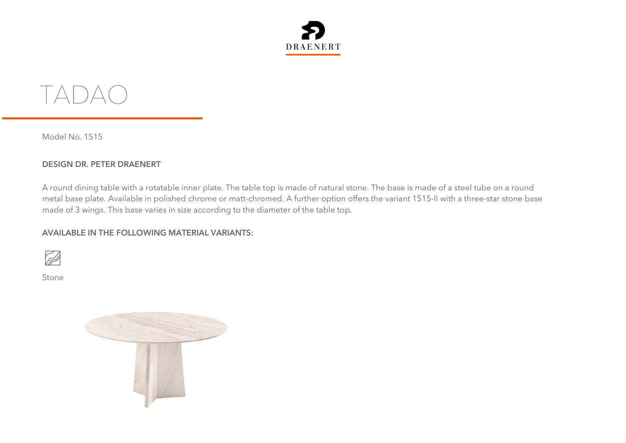



Model No. 1515

## **DESIGN DR. PETER DRAENERT**

A round dining table with a rotatable inner plate. The table top is made of natural stone. The base is made of a steel tube on a round metal base plate. Available in polished chrome or matt-chromed. A further option offers the variant 1515-II with a three-star stone base made of 3 wings. This base varies in size according to the diameter of the table top.

## **AVAILABLE IN THE FOLLOWING MATERIAL VARIANTS:**



Stone